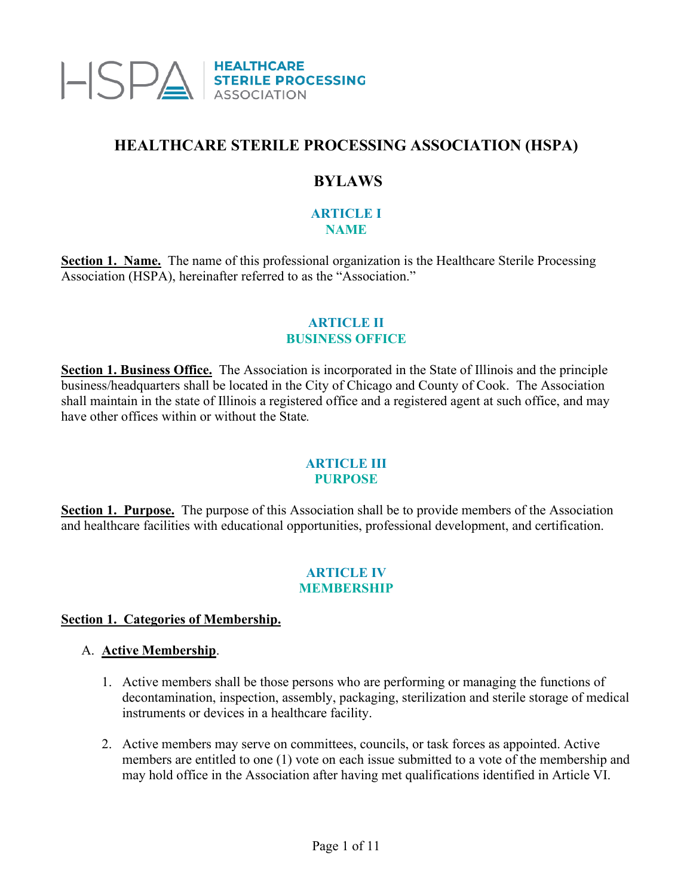

# **HEALTHCARE STERILE PROCESSING ASSOCIATION (HSPA)**

# **BYLAWS**

#### **ARTICLE I NAME**

**Section 1. Name.** The name of this professional organization is the Healthcare Sterile Processing Association (HSPA), hereinafter referred to as the "Association."

#### **ARTICLE II BUSINESS OFFICE**

**Section 1. Business Office.** The Association is incorporated in the State of Illinois and the principle business/headquarters shall be located in the City of Chicago and County of Cook. The Association shall maintain in the state of Illinois a registered office and a registered agent at such office, and may have other offices within or without the State*.*

#### **ARTICLE III PURPOSE**

**Section 1. Purpose.** The purpose of this Association shall be to provide members of the Association and healthcare facilities with educational opportunities, professional development, and certification.

#### **ARTICLE IV MEMBERSHIP**

## **Section 1. Categories of Membership.**

#### A. **Active Membership**.

- 1. Active members shall be those persons who are performing or managing the functions of decontamination, inspection, assembly, packaging, sterilization and sterile storage of medical instruments or devices in a healthcare facility.
- 2. Active members may serve on committees, councils, or task forces as appointed. Active members are entitled to one (1) vote on each issue submitted to a vote of the membership and may hold office in the Association after having met qualifications identified in Article VI.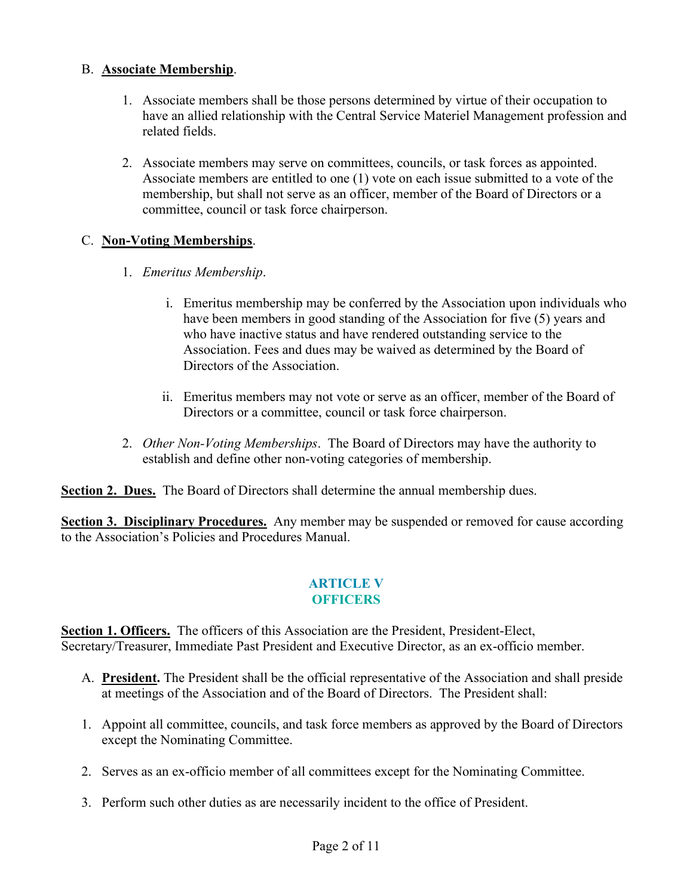## B. **Associate Membership**.

- 1. Associate members shall be those persons determined by virtue of their occupation to have an allied relationship with the Central Service Materiel Management profession and related fields.
- 2. Associate members may serve on committees, councils, or task forces as appointed. Associate members are entitled to one (1) vote on each issue submitted to a vote of the membership, but shall not serve as an officer, member of the Board of Directors or a committee, council or task force chairperson.

# C. **Non-Voting Memberships**.

- 1. *Emeritus Membership*.
	- i. Emeritus membership may be conferred by the Association upon individuals who have been members in good standing of the Association for five (5) years and who have inactive status and have rendered outstanding service to the Association. Fees and dues may be waived as determined by the Board of Directors of the Association.
	- ii. Emeritus members may not vote or serve as an officer, member of the Board of Directors or a committee, council or task force chairperson.
- 2. *Other Non-Voting Memberships*. The Board of Directors may have the authority to establish and define other non-voting categories of membership.

**Section 2. Dues.** The Board of Directors shall determine the annual membership dues.

**Section 3. Disciplinary Procedures.** Any member may be suspended or removed for cause according to the Association's Policies and Procedures Manual.

## **ARTICLE V OFFICERS**

**Section 1. Officers.** The officers of this Association are the President, President-Elect, Secretary/Treasurer, Immediate Past President and Executive Director, as an ex-officio member.

- A. **President.** The President shall be the official representative of the Association and shall preside at meetings of the Association and of the Board of Directors. The President shall:
- 1. Appoint all committee, councils, and task force members as approved by the Board of Directors except the Nominating Committee.
- 2. Serves as an ex-officio member of all committees except for the Nominating Committee.
- 3. Perform such other duties as are necessarily incident to the office of President.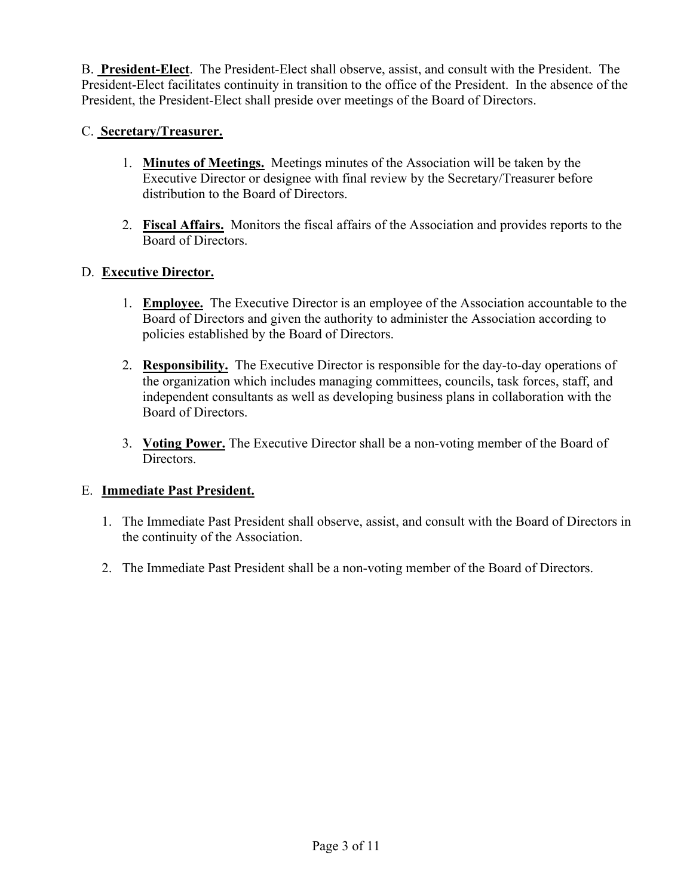B. **President-Elect**. The President-Elect shall observe, assist, and consult with the President. The President-Elect facilitates continuity in transition to the office of the President. In the absence of the President, the President-Elect shall preside over meetings of the Board of Directors.

## C. **Secretary/Treasurer.**

- 1. **Minutes of Meetings.** Meetings minutes of the Association will be taken by the Executive Director or designee with final review by the Secretary/Treasurer before distribution to the Board of Directors.
- 2. **Fiscal Affairs.** Monitors the fiscal affairs of the Association and provides reports to the Board of Directors.

# D. **Executive Director.**

- 1. **Employee.** The Executive Director is an employee of the Association accountable to the Board of Directors and given the authority to administer the Association according to policies established by the Board of Directors.
- 2. **Responsibility.** The Executive Director is responsible for the day-to-day operations of the organization which includes managing committees, councils, task forces, staff, and independent consultants as well as developing business plans in collaboration with the Board of Directors.
- 3. **Voting Power.** The Executive Director shall be a non-voting member of the Board of Directors.

# E. **Immediate Past President.**

- 1. The Immediate Past President shall observe, assist, and consult with the Board of Directors in the continuity of the Association.
- 2. The Immediate Past President shall be a non-voting member of the Board of Directors.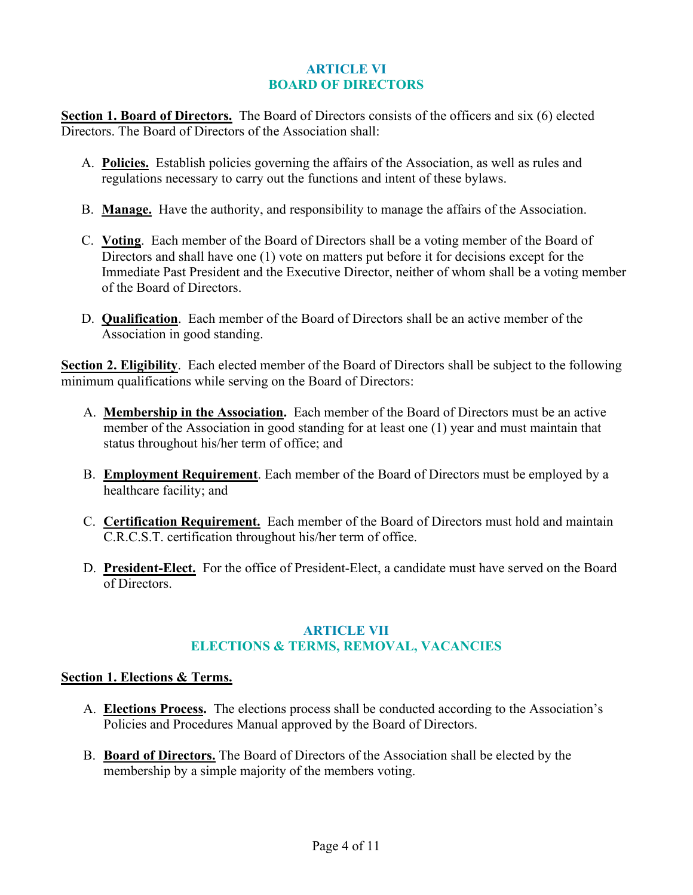#### **ARTICLE VI BOARD OF DIRECTORS**

**Section 1. Board of Directors.** The Board of Directors consists of the officers and six (6) elected Directors. The Board of Directors of the Association shall:

- A. **Policies.** Establish policies governing the affairs of the Association, as well as rules and regulations necessary to carry out the functions and intent of these bylaws.
- B. **Manage.** Have the authority, and responsibility to manage the affairs of the Association.
- C. **Voting**. Each member of the Board of Directors shall be a voting member of the Board of Directors and shall have one (1) vote on matters put before it for decisions except for the Immediate Past President and the Executive Director, neither of whom shall be a voting member of the Board of Directors.
- D. **Qualification**. Each member of the Board of Directors shall be an active member of the Association in good standing.

**Section 2. Eligibility**. Each elected member of the Board of Directors shall be subject to the following minimum qualifications while serving on the Board of Directors:

- A. **Membership in the Association.** Each member of the Board of Directors must be an active member of the Association in good standing for at least one (1) year and must maintain that status throughout his/her term of office; and
- B. **Employment Requirement**. Each member of the Board of Directors must be employed by a healthcare facility; and
- C. **Certification Requirement.** Each member of the Board of Directors must hold and maintain C.R.C.S.T. certification throughout his/her term of office.
- D. **President-Elect.** For the office of President-Elect, a candidate must have served on the Board of Directors.

## **ARTICLE VII ELECTIONS & TERMS, REMOVAL, VACANCIES**

## **Section 1. Elections & Terms.**

- A. **Elections Process.** The elections process shall be conducted according to the Association's Policies and Procedures Manual approved by the Board of Directors.
- B. **Board of Directors.** The Board of Directors of the Association shall be elected by the membership by a simple majority of the members voting.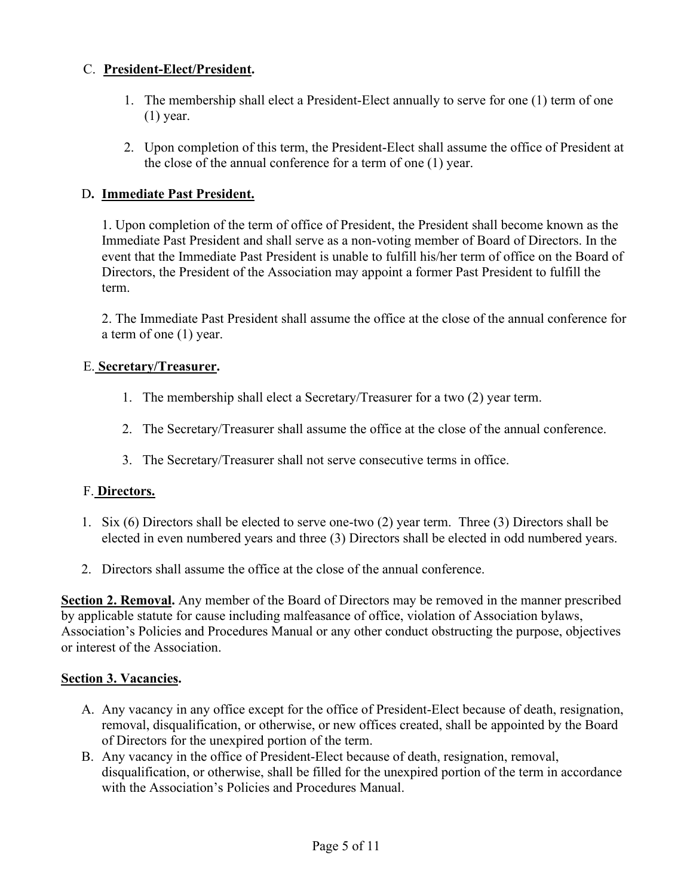# C. **President-Elect/President.**

- 1. The membership shall elect a President-Elect annually to serve for one (1) term of one (1) year.
- 2. Upon completion of this term, the President-Elect shall assume the office of President at the close of the annual conference for a term of one (1) year.

# D**. Immediate Past President.**

1. Upon completion of the term of office of President, the President shall become known as the Immediate Past President and shall serve as a non-voting member of Board of Directors. In the event that the Immediate Past President is unable to fulfill his/her term of office on the Board of Directors, the President of the Association may appoint a former Past President to fulfill the term.

2. The Immediate Past President shall assume the office at the close of the annual conference for a term of one (1) year.

## E. **Secretary/Treasurer.**

- 1. The membership shall elect a Secretary/Treasurer for a two (2) year term.
- 2. The Secretary/Treasurer shall assume the office at the close of the annual conference.
- 3. The Secretary/Treasurer shall not serve consecutive terms in office.

# F. **Directors.**

- 1. Six (6) Directors shall be elected to serve one-two (2) year term. Three (3) Directors shall be elected in even numbered years and three (3) Directors shall be elected in odd numbered years.
- 2. Directors shall assume the office at the close of the annual conference.

**Section 2. Removal.** Any member of the Board of Directors may be removed in the manner prescribed by applicable statute for cause including malfeasance of office, violation of Association bylaws, Association's Policies and Procedures Manual or any other conduct obstructing the purpose, objectives or interest of the Association.

## **Section 3. Vacancies.**

- A. Any vacancy in any office except for the office of President-Elect because of death, resignation, removal, disqualification, or otherwise, or new offices created, shall be appointed by the Board of Directors for the unexpired portion of the term.
- B. Any vacancy in the office of President-Elect because of death, resignation, removal, disqualification, or otherwise, shall be filled for the unexpired portion of the term in accordance with the Association's Policies and Procedures Manual.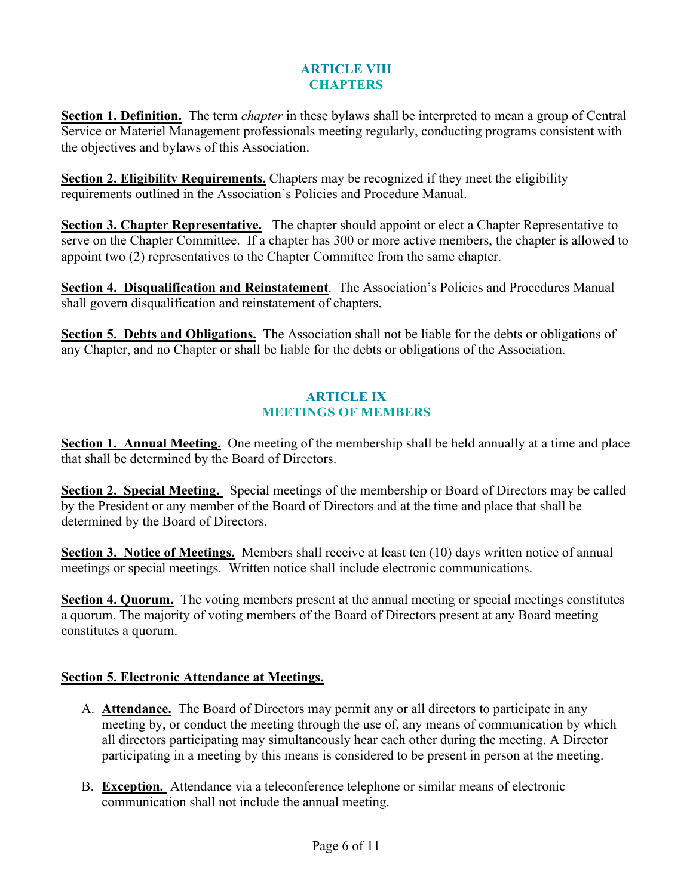## **ARTICLE VIII CHAPTERS**

**Section 1. Definition.** The term *chapter* in these bylaws shall be interpreted to mean a group of Central Service or Materiel Management professionals meeting regularly, conducting programs consistent with the objectives and bylaws of this Association.

**Section 2. Eligibility Requirements.** Chapters may be recognized if they meet the eligibility requirements outlined in the Association's Policies and Procedure Manual.

**Section 3. Chapter Representative.** The chapter should appoint or elect a Chapter Representative to serve on the Chapter Committee. If a chapter has 300 or more active members, the chapter is allowed to appoint two (2) representatives to the Chapter Committee from the same chapter.

**Section 4. Disqualification and Reinstatement**. The Association's Policies and Procedures Manual shall govern disqualification and reinstatement of chapters.

**Section 5. Debts and Obligations.** The Association shall not be liable for the debts or obligations of any Chapter, and no Chapter or shall be liable for the debts or obligations of the Association.

## **ARTICLE IX MEETINGS OF MEMBERS**

**Section 1. Annual Meeting.** One meeting of the membership shall be held annually at a time and place that shall be determined by the Board of Directors.

**Section 2. Special Meeting.** Special meetings of the membership or Board of Directors may be called by the President or any member of the Board of Directors and at the time and place that shall be determined by the Board of Directors.

**Section 3. Notice of Meetings.** Members shall receive at least ten (10) days written notice of annual meetings or special meetings. Written notice shall include electronic communications.

**Section 4. Quorum.** The voting members present at the annual meeting or special meetings constitutes a quorum. The majority of voting members of the Board of Directors present at any Board meeting constitutes a quorum.

# **Section 5. Electronic Attendance at Meetings.**

- A. **Attendance.** The Board of Directors may permit any or all directors to participate in any meeting by, or conduct the meeting through the use of, any means of communication by which all directors participating may simultaneously hear each other during the meeting. A Director participating in a meeting by this means is considered to be present in person at the meeting.
- B. **Exception.** Attendance via a teleconference telephone or similar means of electronic communication shall not include the annual meeting.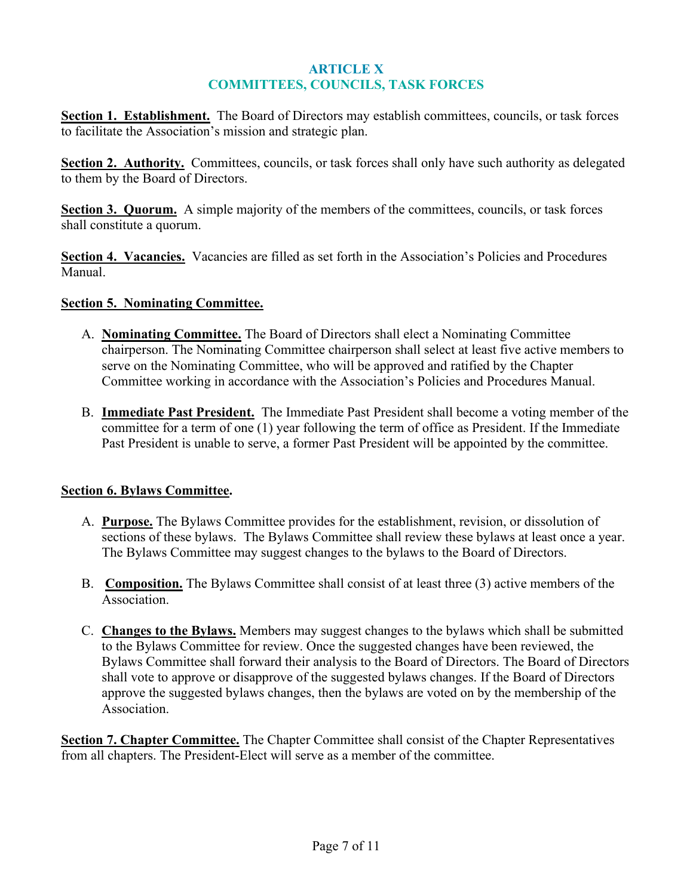## **ARTICLE X COMMITTEES, COUNCILS, TASK FORCES**

**Section 1. Establishment.** The Board of Directors may establish committees, councils, or task forces to facilitate the Association's mission and strategic plan.

**Section 2. Authority.** Committees, councils, or task forces shall only have such authority as delegated to them by the Board of Directors.

**Section 3. Quorum.** A simple majority of the members of the committees, councils, or task forces shall constitute a quorum.

**Section 4. Vacancies.** Vacancies are filled as set forth in the Association's Policies and Procedures Manual.

#### **Section 5. Nominating Committee.**

- A. **Nominating Committee.** The Board of Directors shall elect a Nominating Committee chairperson. The Nominating Committee chairperson shall select at least five active members to serve on the Nominating Committee, who will be approved and ratified by the Chapter Committee working in accordance with the Association's Policies and Procedures Manual.
- B. **Immediate Past President.** The Immediate Past President shall become a voting member of the committee for a term of one (1) year following the term of office as President. If the Immediate Past President is unable to serve, a former Past President will be appointed by the committee.

## **Section 6. Bylaws Committee.**

- A. **Purpose.** The Bylaws Committee provides for the establishment, revision, or dissolution of sections of these bylaws. The Bylaws Committee shall review these bylaws at least once a year. The Bylaws Committee may suggest changes to the bylaws to the Board of Directors.
- B. **Composition.** The Bylaws Committee shall consist of at least three (3) active members of the Association.
- C. **Changes to the Bylaws.** Members may suggest changes to the bylaws which shall be submitted to the Bylaws Committee for review. Once the suggested changes have been reviewed, the Bylaws Committee shall forward their analysis to the Board of Directors. The Board of Directors shall vote to approve or disapprove of the suggested bylaws changes. If the Board of Directors approve the suggested bylaws changes, then the bylaws are voted on by the membership of the Association.

**Section 7. Chapter Committee.** The Chapter Committee shall consist of the Chapter Representatives from all chapters. The President-Elect will serve as a member of the committee.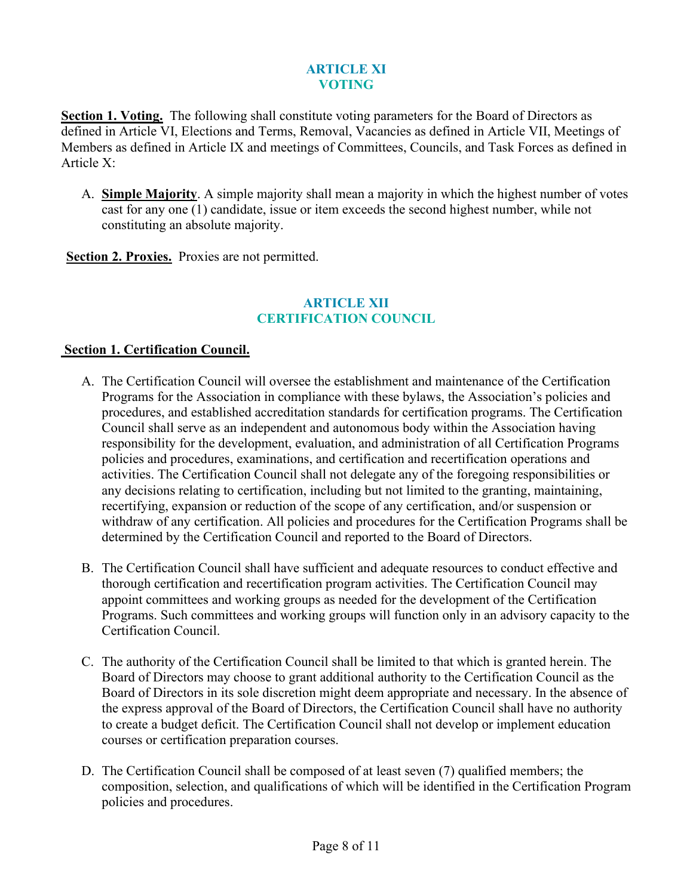## **ARTICLE XI VOTING**

**Section 1. Voting.** The following shall constitute voting parameters for the Board of Directors as defined in Article VI, Elections and Terms, Removal, Vacancies as defined in Article VII, Meetings of Members as defined in Article IX and meetings of Committees, Councils, and Task Forces as defined in Article X:

A. **Simple Majority**. A simple majority shall mean a majority in which the highest number of votes cast for any one (1) candidate, issue or item exceeds the second highest number, while not constituting an absolute majority.

**Section 2. Proxies.** Proxies are not permitted.

#### **ARTICLE XII CERTIFICATION COUNCIL**

#### **Section 1. Certification Council.**

- A. The Certification Council will oversee the establishment and maintenance of the Certification Programs for the Association in compliance with these bylaws, the Association's policies and procedures, and established accreditation standards for certification programs. The Certification Council shall serve as an independent and autonomous body within the Association having responsibility for the development, evaluation, and administration of all Certification Programs policies and procedures, examinations, and certification and recertification operations and activities. The Certification Council shall not delegate any of the foregoing responsibilities or any decisions relating to certification, including but not limited to the granting, maintaining, recertifying, expansion or reduction of the scope of any certification, and/or suspension or withdraw of any certification. All policies and procedures for the Certification Programs shall be determined by the Certification Council and reported to the Board of Directors.
- B. The Certification Council shall have sufficient and adequate resources to conduct effective and thorough certification and recertification program activities. The Certification Council may appoint committees and working groups as needed for the development of the Certification Programs. Such committees and working groups will function only in an advisory capacity to the Certification Council.
- C. The authority of the Certification Council shall be limited to that which is granted herein. The Board of Directors may choose to grant additional authority to the Certification Council as the Board of Directors in its sole discretion might deem appropriate and necessary. In the absence of the express approval of the Board of Directors, the Certification Council shall have no authority to create a budget deficit. The Certification Council shall not develop or implement education courses or certification preparation courses.
- D. The Certification Council shall be composed of at least seven (7) qualified members; the composition, selection, and qualifications of which will be identified in the Certification Program policies and procedures.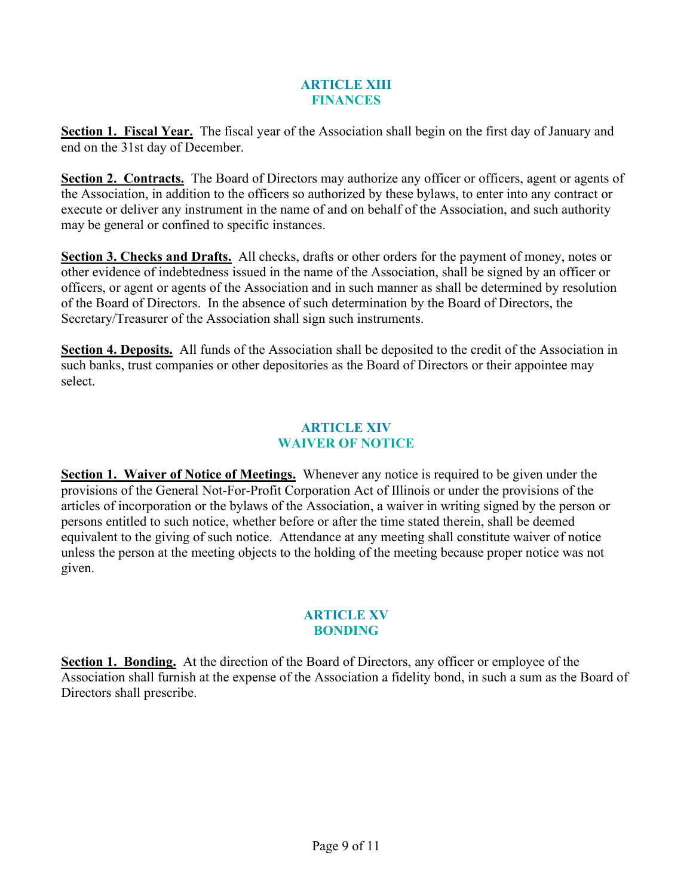## **ARTICLE XIII FINANCES**

**Section 1. Fiscal Year.** The fiscal year of the Association shall begin on the first day of January and end on the 31st day of December.

**Section 2. Contracts.** The Board of Directors may authorize any officer or officers, agent or agents of the Association, in addition to the officers so authorized by these bylaws, to enter into any contract or execute or deliver any instrument in the name of and on behalf of the Association, and such authority may be general or confined to specific instances.

**Section 3. Checks and Drafts.** All checks, drafts or other orders for the payment of money, notes or other evidence of indebtedness issued in the name of the Association, shall be signed by an officer or officers, or agent or agents of the Association and in such manner as shall be determined by resolution of the Board of Directors. In the absence of such determination by the Board of Directors, the Secretary/Treasurer of the Association shall sign such instruments.

**Section 4. Deposits.** All funds of the Association shall be deposited to the credit of the Association in such banks, trust companies or other depositories as the Board of Directors or their appointee may select.

## **ARTICLE XIV WAIVER OF NOTICE**

**Section 1. Waiver of Notice of Meetings.** Whenever any notice is required to be given under the provisions of the General Not-For-Profit Corporation Act of Illinois or under the provisions of the articles of incorporation or the bylaws of the Association, a waiver in writing signed by the person or persons entitled to such notice, whether before or after the time stated therein, shall be deemed equivalent to the giving of such notice. Attendance at any meeting shall constitute waiver of notice unless the person at the meeting objects to the holding of the meeting because proper notice was not given.

## **ARTICLE XV BONDING**

**Section 1. Bonding.** At the direction of the Board of Directors, any officer or employee of the Association shall furnish at the expense of the Association a fidelity bond, in such a sum as the Board of Directors shall prescribe.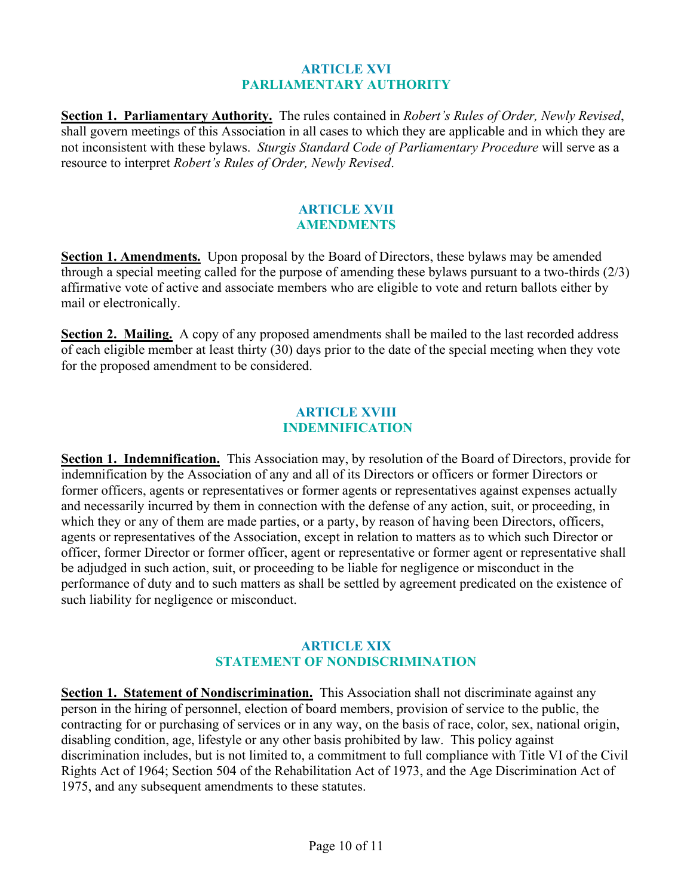#### **ARTICLE XVI PARLIAMENTARY AUTHORITY**

**Section 1. Parliamentary Authority.** The rules contained in *Robert's Rules of Order, Newly Revised*, shall govern meetings of this Association in all cases to which they are applicable and in which they are not inconsistent with these bylaws. *Sturgis Standard Code of Parliamentary Procedure* will serve as a resource to interpret *Robert's Rules of Order, Newly Revised*.

#### **ARTICLE XVII AMENDMENTS**

**Section 1. Amendments.** Upon proposal by the Board of Directors, these bylaws may be amended through a special meeting called for the purpose of amending these bylaws pursuant to a two-thirds (2/3) affirmative vote of active and associate members who are eligible to vote and return ballots either by mail or electronically.

**Section 2. Mailing.** A copy of any proposed amendments shall be mailed to the last recorded address of each eligible member at least thirty (30) days prior to the date of the special meeting when they vote for the proposed amendment to be considered.

#### **ARTICLE XVIII INDEMNIFICATION**

**Section 1. Indemnification.** This Association may, by resolution of the Board of Directors, provide for indemnification by the Association of any and all of its Directors or officers or former Directors or former officers, agents or representatives or former agents or representatives against expenses actually and necessarily incurred by them in connection with the defense of any action, suit, or proceeding, in which they or any of them are made parties, or a party, by reason of having been Directors, officers, agents or representatives of the Association, except in relation to matters as to which such Director or officer, former Director or former officer, agent or representative or former agent or representative shall be adjudged in such action, suit, or proceeding to be liable for negligence or misconduct in the performance of duty and to such matters as shall be settled by agreement predicated on the existence of such liability for negligence or misconduct.

## **ARTICLE XIX STATEMENT OF NONDISCRIMINATION**

**Section 1. Statement of Nondiscrimination.** This Association shall not discriminate against any person in the hiring of personnel, election of board members, provision of service to the public, the contracting for or purchasing of services or in any way, on the basis of race, color, sex, national origin, disabling condition, age, lifestyle or any other basis prohibited by law. This policy against discrimination includes, but is not limited to, a commitment to full compliance with Title VI of the Civil Rights Act of 1964; Section 504 of the Rehabilitation Act of 1973, and the Age Discrimination Act of 1975, and any subsequent amendments to these statutes.